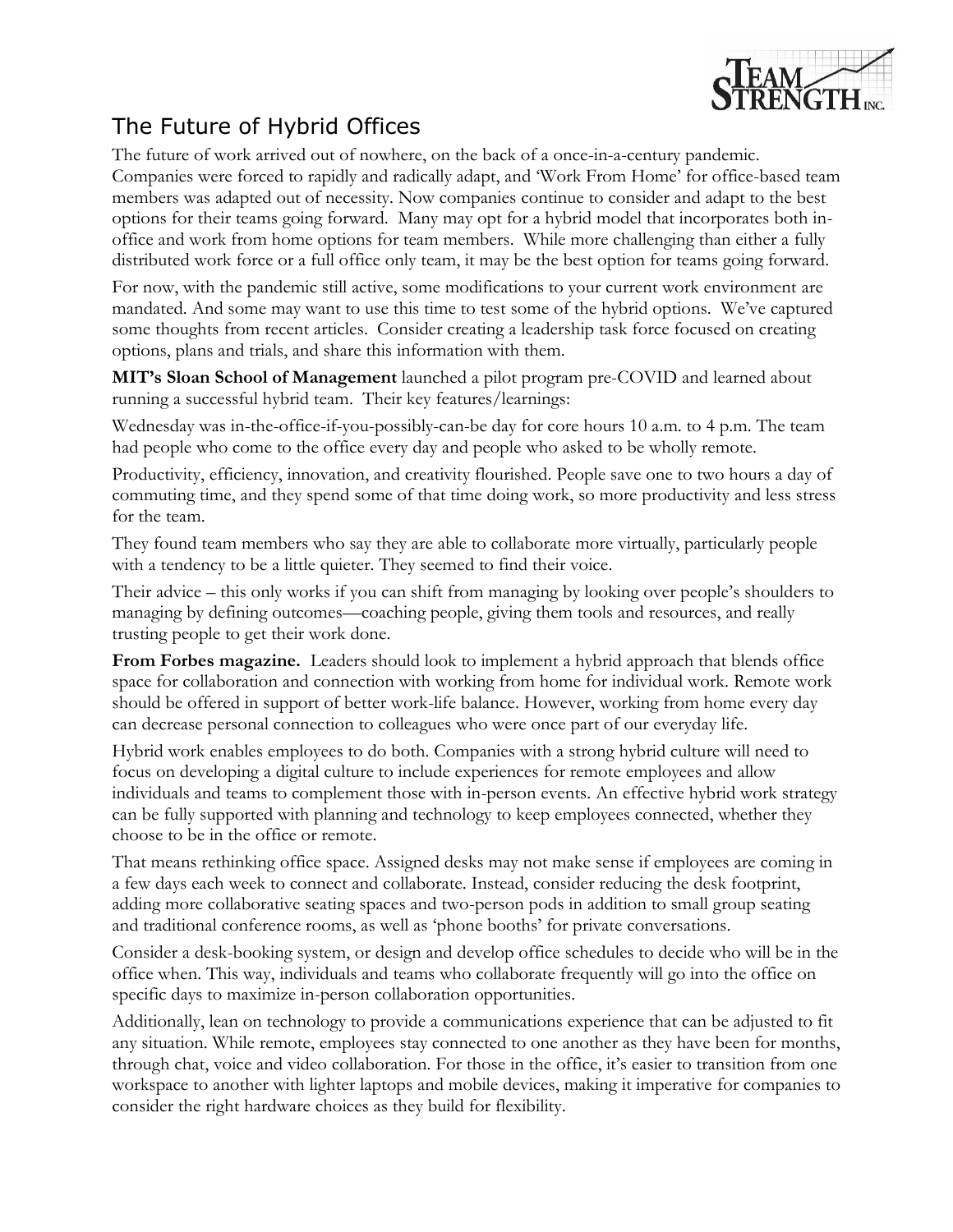

## The Future of Hybrid Offices

The future of work arrived out of nowhere, on the back of a once-in-a-century pandemic. Companies were forced to rapidly and radically adapt, and 'Work From Home' for office-based team members was adapted out of necessity. Now companies continue to consider and adapt to the best options for their teams going forward. Many may opt for a hybrid model that incorporates both inoffice and work from home options for team members. While more challenging than either a fully distributed work force or a full office only team, it may be the best option for teams going forward.

For now, with the pandemic still active, some modifications to your current work environment are mandated. And some may want to use this time to test some of the hybrid options. We've captured some thoughts from recent articles. Consider creating a leadership task force focused on creating options, plans and trials, and share this information with them.

**MIT's Sloan School of Management** launched a pilot program pre-COVID and learned about running a successful hybrid team. Their key features/learnings:

Wednesday was in-the-office-if-you-possibly-can-be day for core hours 10 a.m. to 4 p.m. The team had people who come to the office every day and people who asked to be wholly remote.

Productivity, efficiency, innovation, and creativity flourished. People save one to two hours a day of commuting time, and they spend some of that time doing work, so more productivity and less stress for the team.

They found team members who say they are able to collaborate more virtually, particularly people with a tendency to be a little quieter. They seemed to find their voice.

Their advice – this only works if you can shift from managing by looking over people's shoulders to managing by defining outcomes—coaching people, giving them tools and resources, and really trusting people to get their work done.

**From Forbes magazine.** Leaders should look to implement a hybrid approach that blends office space for collaboration and connection with working from home for individual work. Remote work should be offered in support of better work-life balance. However, working from home every day can decrease personal connection to colleagues who were once part of our everyday life.

Hybrid work enables employees to do both. Companies with a strong hybrid culture will need to focus on developing a digital culture to include experiences for remote employees and allow individuals and teams to complement those with in-person events. An effective hybrid work strategy can be fully supported with planning and technology to keep employees connected, whether they choose to be in the office or remote.

That means rethinking office space. Assigned desks may not make sense if employees are coming in a few days each week to connect and collaborate. Instead, consider reducing the desk footprint, adding more collaborative seating spaces and two-person pods in addition to small group seating and traditional conference rooms, as well as 'phone booths' for private conversations.

Consider a desk-booking system, or design and develop office schedules to decide who will be in the office when. This way, individuals and teams who collaborate frequently will go into the office on specific days to maximize in-person collaboration opportunities.

Additionally, lean on technology to provide a communications experience that can be adjusted to fit any situation. While remote, employees stay connected to one another as they have been for months, through chat, voice and video collaboration. For those in the office, it's easier to transition from one workspace to another with lighter laptops and mobile devices, making it imperative for companies to consider the right hardware choices as they build for flexibility.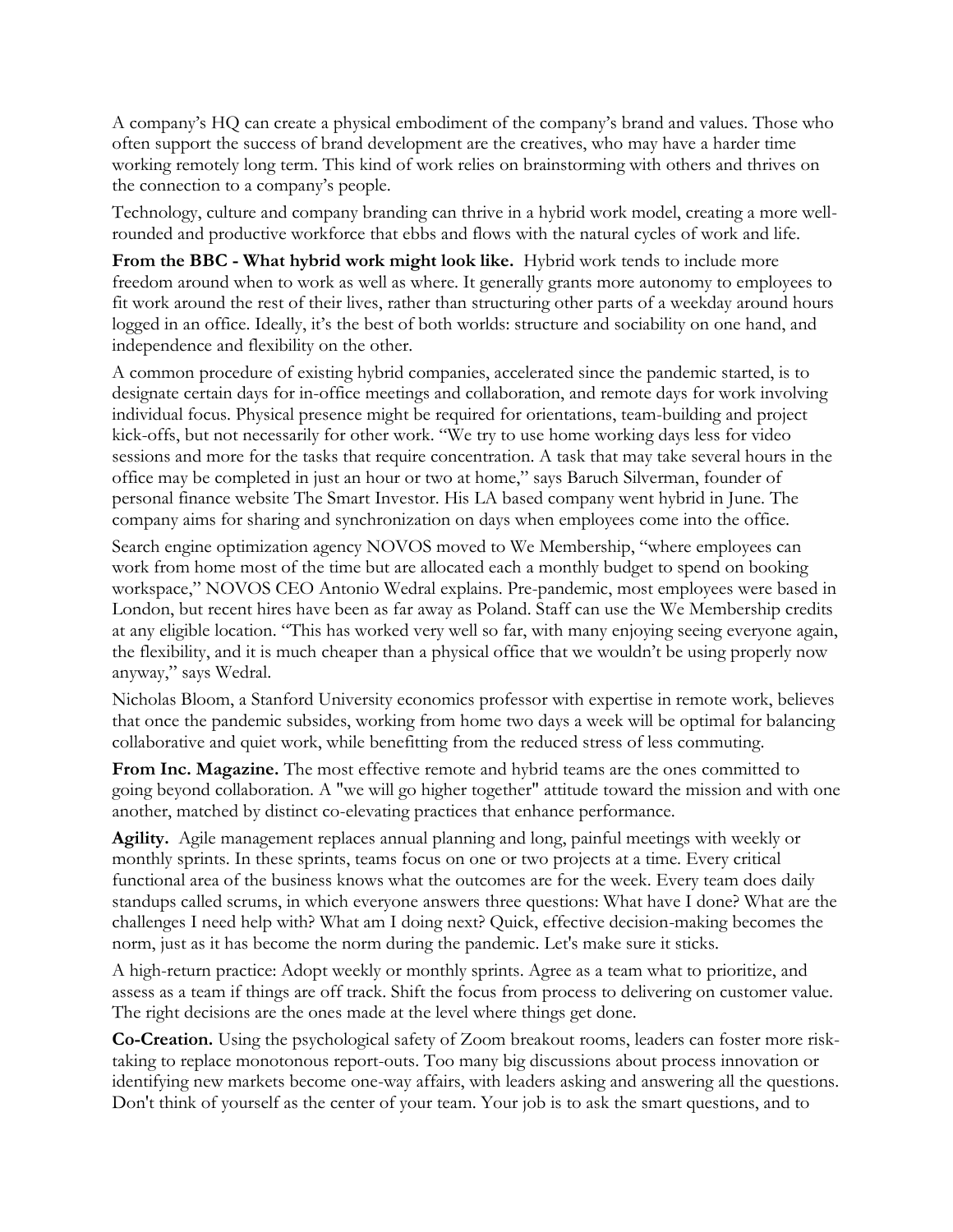A company's HQ can create a physical embodiment of the company's brand and values. Those who often support the success of brand development are the creatives, who may have a harder time working remotely long term. This kind of work relies on brainstorming with others and thrives on the connection to a company's people.

Technology, culture and company branding can thrive in a hybrid work model, creating a more wellrounded and productive workforce that ebbs and flows with the natural cycles of work and life.

**From the BBC - What hybrid work might look like.** Hybrid work tends to include more freedom around when to work as well as where. It generally grants more autonomy to employees to fit work around the rest of their lives, rather than structuring other parts of a weekday around hours logged in an office. Ideally, it's the best of both worlds: structure and sociability on one hand, and independence and flexibility on the other.

A common procedure of existing hybrid companies, accelerated since the pandemic started, is to designate certain days for in-office meetings and collaboration, and remote days for work involving individual focus. Physical presence might be required for orientations, team-building and project kick-offs, but not necessarily for other work. "We try to use home working days less for video sessions and more for the tasks that require concentration. A task that may take several hours in the office may be completed in just an hour or two at home," says Baruch Silverman, founder of personal finance website The Smart Investor. His LA based company went hybrid in June. The company aims for sharing and synchronization on days when employees come into the office.

Search engine optimization agency NOVOS moved to We Membership, "where employees can work from home most of the time but are allocated each a monthly budget to spend on booking workspace," NOVOS CEO Antonio Wedral explains. Pre-pandemic, most employees were based in London, but recent hires have been as far away as Poland. Staff can use the We Membership credits at any eligible location. "This has worked very well so far, with many enjoying seeing everyone again, the flexibility, and it is much cheaper than a physical office that we wouldn't be using properly now anyway," says Wedral.

Nicholas Bloom, a Stanford University economics professor with expertise in remote work, believes that once the pandemic subsides, working from home two days a week will be optimal for balancing collaborative and quiet work, while benefitting from the reduced stress of less commuting.

From Inc. Magazine. The most effective remote and hybrid teams are the ones committed to going beyond collaboration. A "we will go higher together" attitude toward the mission and with one another, matched by distinct co-elevating practices that enhance performance.

**Agility.** Agile management replaces annual planning and long, painful meetings with weekly or monthly sprints. In these sprints, teams focus on one or two projects at a time. Every critical functional area of the business knows what the outcomes are for the week. Every team does daily standups called scrums, in which everyone answers three questions: What have I done? What are the challenges I need help with? What am I doing next? Quick, effective decision-making becomes the norm, just as it has become the norm during the pandemic. Let's make sure it sticks.

A high-return practice: Adopt weekly or monthly sprints. Agree as a team what to prioritize, and assess as a team if things are off track. Shift the focus from process to delivering on customer value. The right decisions are the ones made at the level where things get done.

**Co-Creation.** Using the psychological safety of Zoom breakout rooms, leaders can foster more risktaking to replace monotonous report-outs. Too many big discussions about process innovation or identifying new markets become one-way affairs, with leaders asking and answering all the questions. Don't think of yourself as the center of your team. Your job is to ask the smart questions, and to